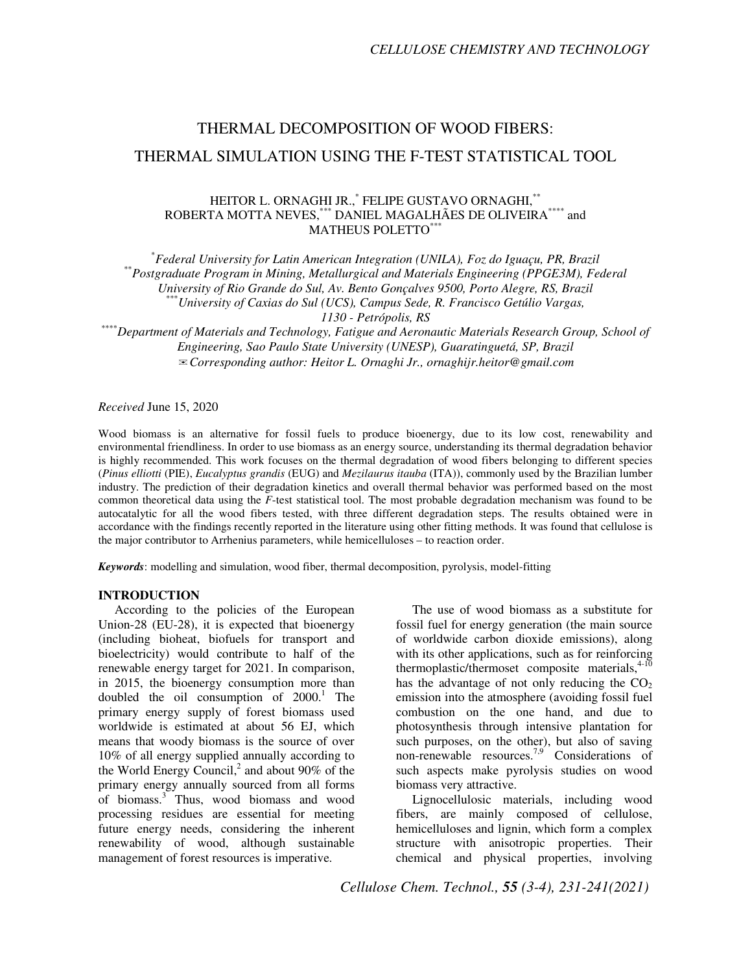# THERMAL DECOMPOSITION OF WOOD FIBERS: THERMAL SIMULATION USING THE F-TEST STATISTICAL TOOL

## HEITOR L. ORNAGHI JR.,\* FELIPE GUSTAVO ORNAGHI,\*\* ROBERTA MOTTA NEVES,\*\*\* DANIEL MAGALHÃES DE OLIVEIRA\*\*\*\* and MATHEUS POLETTO\*\*

\* *Federal University for Latin American Integration (UNILA), Foz do Iguaçu, PR, Brazil*  \*\**Postgraduate Program in Mining, Metallurgical and Materials Engineering (PPGE3M), Federal University of Rio Grande do Sul, Av. Bento Gonçalves 9500, Porto Alegre, RS, Brazil* \*\*\**University of Caxias do Sul (UCS), Campus Sede, R. Francisco Getúlio Vargas, 1130 - Petrópolis, RS*  \*\*\*\**Department of Materials and Technology, Fatigue and Aeronautic Materials Research Group, School of* 

*Engineering, Sao Paulo State University (UNESP), Guaratinguetá, SP, Brazil*  ✉*Corresponding author: Heitor L. Ornaghi Jr., ornaghijr.heitor@gmail.com* 

*Received* June 15, 2020

Wood biomass is an alternative for fossil fuels to produce bioenergy, due to its low cost, renewability and environmental friendliness. In order to use biomass as an energy source, understanding its thermal degradation behavior is highly recommended. This work focuses on the thermal degradation of wood fibers belonging to different species (*Pinus elliotti* (PIE), *Eucalyptus grandis* (EUG) and *Mezilaurus itauba* (ITA)), commonly used by the Brazilian lumber industry. The prediction of their degradation kinetics and overall thermal behavior was performed based on the most common theoretical data using the *F*-test statistical tool. The most probable degradation mechanism was found to be autocatalytic for all the wood fibers tested, with three different degradation steps. The results obtained were in accordance with the findings recently reported in the literature using other fitting methods. It was found that cellulose is the major contributor to Arrhenius parameters, while hemicelluloses – to reaction order.

*Keywords*: modelling and simulation, wood fiber, thermal decomposition, pyrolysis, model-fitting

#### **INTRODUCTION**

According to the policies of the European Union-28 (EU-28), it is expected that bioenergy (including bioheat, biofuels for transport and bioelectricity) would contribute to half of the renewable energy target for 2021. In comparison, in 2015, the bioenergy consumption more than doubled the oil consumption of  $2000$ .<sup>1</sup> The primary energy supply of forest biomass used worldwide is estimated at about 56 EJ, which means that woody biomass is the source of over 10% of all energy supplied annually according to the World Energy Council,<sup>2</sup> and about 90% of the primary energy annually sourced from all forms of biomass.<sup>3</sup> Thus, wood biomass and wood processing residues are essential for meeting future energy needs, considering the inherent renewability of wood, although sustainable management of forest resources is imperative.

The use of wood biomass as a substitute for fossil fuel for energy generation (the main source of worldwide carbon dioxide emissions), along with its other applications, such as for reinforcing thermoplastic/thermoset composite materials,<sup>4-10</sup> has the advantage of not only reducing the  $CO<sub>2</sub>$ emission into the atmosphere (avoiding fossil fuel combustion on the one hand, and due to photosynthesis through intensive plantation for such purposes, on the other), but also of saving non-renewable resources.<sup>7,9</sup> Considerations of such aspects make pyrolysis studies on wood biomass very attractive.

Lignocellulosic materials, including wood fibers, are mainly composed of cellulose, hemicelluloses and lignin, which form a complex structure with anisotropic properties. Their chemical and physical properties, involving

*Cellulose Chem. Technol., 55 (3-4), 231-241(2021)*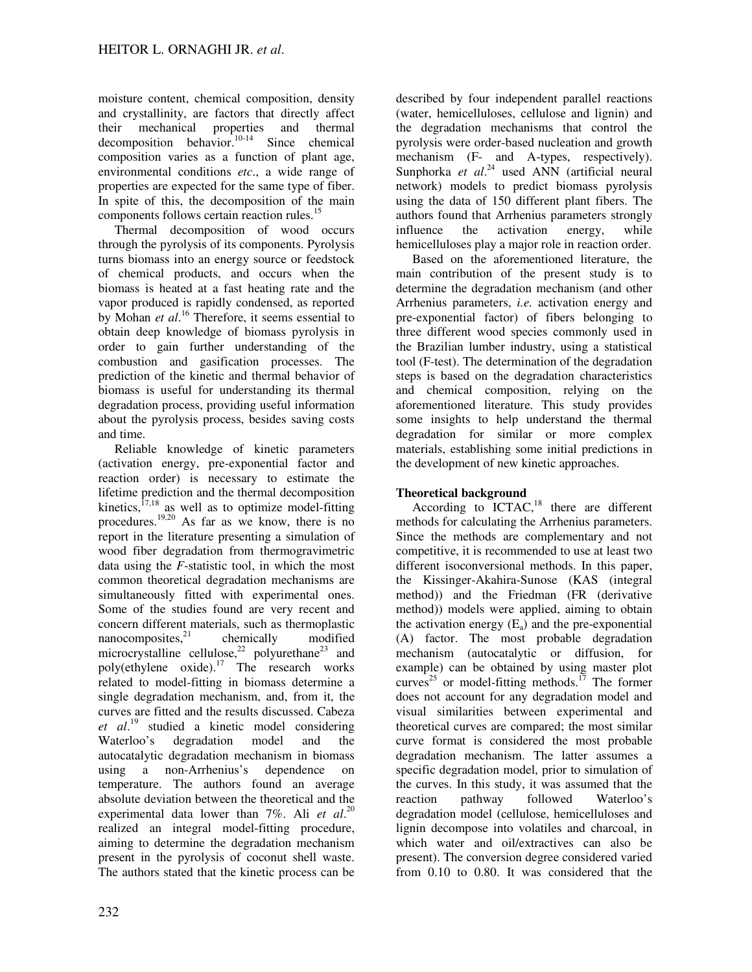moisture content, chemical composition, density and crystallinity, are factors that directly affect their mechanical properties and thermal  $decomposition$  behavior.<sup>10-14</sup> Since chemical composition varies as a function of plant age, environmental conditions *etc*., a wide range of properties are expected for the same type of fiber. In spite of this, the decomposition of the main components follows certain reaction rules.<sup>15</sup>

Thermal decomposition of wood occurs through the pyrolysis of its components. Pyrolysis turns biomass into an energy source or feedstock of chemical products, and occurs when the biomass is heated at a fast heating rate and the vapor produced is rapidly condensed, as reported by Mohan *et al*. <sup>16</sup> Therefore, it seems essential to obtain deep knowledge of biomass pyrolysis in order to gain further understanding of the combustion and gasification processes. The prediction of the kinetic and thermal behavior of biomass is useful for understanding its thermal degradation process, providing useful information about the pyrolysis process, besides saving costs and time.

Reliable knowledge of kinetic parameters (activation energy, pre-exponential factor and reaction order) is necessary to estimate the lifetime prediction and the thermal decomposition kinetics, $17,18$  as well as to optimize model-fitting procedures.<sup>19,20</sup> As far as we know, there is no report in the literature presenting a simulation of wood fiber degradation from thermogravimetric data using the *F*-statistic tool, in which the most common theoretical degradation mechanisms are simultaneously fitted with experimental ones. Some of the studies found are very recent and concern different materials, such as thermoplastic nanocomposites, $2^1$  chemically modified microcrystalline cellulose,<sup>22</sup> polyurethane<sup>23</sup> and poly(ethylene oxide). $17$  The research works related to model-fitting in biomass determine a single degradation mechanism, and, from it, the curves are fitted and the results discussed. Cabeza *et al*. <sup>19</sup> studied a kinetic model considering Waterloo's degradation model and the autocatalytic degradation mechanism in biomass using a non-Arrhenius's dependence on temperature. The authors found an average absolute deviation between the theoretical and the experimental data lower than 7%. Ali *et al*. 20 realized an integral model-fitting procedure, aiming to determine the degradation mechanism present in the pyrolysis of coconut shell waste. The authors stated that the kinetic process can be

described by four independent parallel reactions (water, hemicelluloses, cellulose and lignin) and the degradation mechanisms that control the pyrolysis were order-based nucleation and growth mechanism (F- and A-types, respectively). Sunphorka et al.<sup>24</sup> used ANN (artificial neural network) models to predict biomass pyrolysis using the data of 150 different plant fibers. The authors found that Arrhenius parameters strongly influence the activation energy, while hemicelluloses play a major role in reaction order.

Based on the aforementioned literature, the main contribution of the present study is to determine the degradation mechanism (and other Arrhenius parameters, *i.e.* activation energy and pre-exponential factor) of fibers belonging to three different wood species commonly used in the Brazilian lumber industry, using a statistical tool (F-test). The determination of the degradation steps is based on the degradation characteristics and chemical composition, relying on the aforementioned literature. This study provides some insights to help understand the thermal degradation for similar or more complex materials, establishing some initial predictions in the development of new kinetic approaches.

# **Theoretical background**

According to  $\text{ICTAC},^{18}$  there are different methods for calculating the Arrhenius parameters. Since the methods are complementary and not competitive, it is recommended to use at least two different isoconversional methods. In this paper, the Kissinger-Akahira-Sunose (KAS (integral method)) and the Friedman (FR (derivative method)) models were applied, aiming to obtain the activation energy  $(E_a)$  and the pre-exponential (A) factor. The most probable degradation mechanism (autocatalytic or diffusion, for example) can be obtained by using master plot curves<sup>25</sup> or model-fitting methods.<sup>17</sup> The former does not account for any degradation model and visual similarities between experimental and theoretical curves are compared; the most similar curve format is considered the most probable degradation mechanism. The latter assumes a specific degradation model, prior to simulation of the curves. In this study, it was assumed that the reaction pathway followed Waterloo's degradation model (cellulose, hemicelluloses and lignin decompose into volatiles and charcoal, in which water and oil/extractives can also be present). The conversion degree considered varied from 0.10 to 0.80. It was considered that the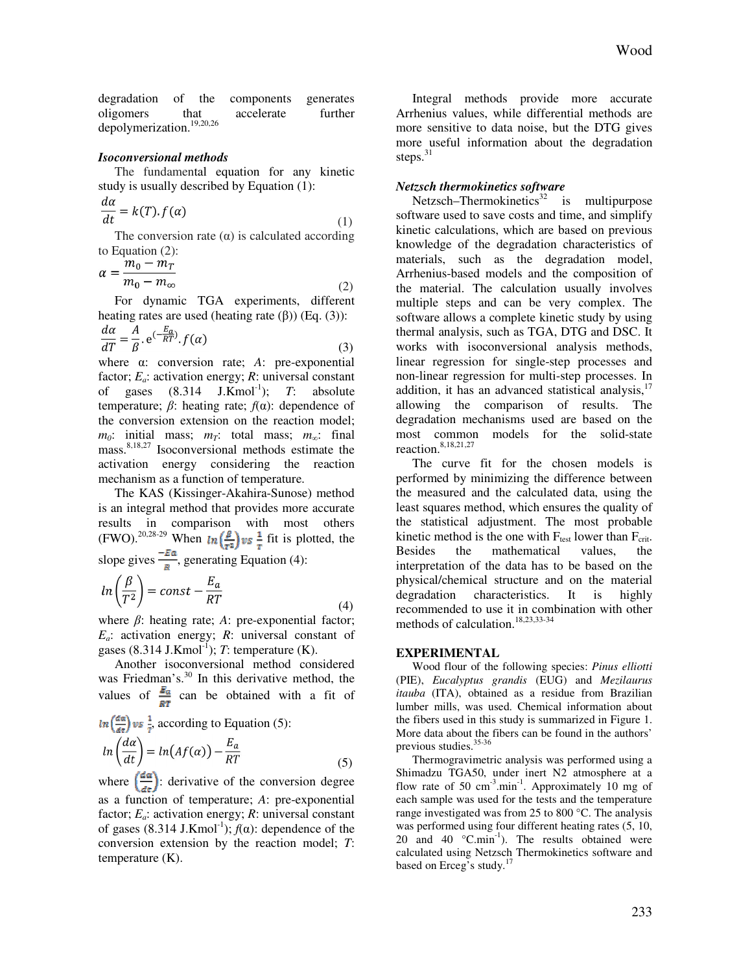degradation of the components generates oligomers that accelerate further depolymerization.<sup>19,20,26</sup>

#### *Isoconversional methods*

The fundamental equation for any kinetic study is usually described by Equation (1):

$$
\frac{a\alpha}{dt} = k(T).f(\alpha) \tag{1}
$$

The conversion rate  $(\alpha)$  is calculated according to Equation (2):

$$
\alpha = \frac{m_0 - m_T}{m_0 - m_\infty} \tag{2}
$$

For dynamic TGA experiments, different heating rates are used (heating rate  $(β)$ ) (Eq.  $(3)$ ):

$$
\frac{d\alpha}{dT} = \frac{A}{\beta} \cdot e^{(-\frac{E_a}{RT})} \cdot f(\alpha)
$$
\n(3)

where α: conversion rate; *A*: pre-exponential factor;  $E_a$ : activation energy;  $R$ : universal constant of gases  $(8.314 \text{ J.Kmol}^{-1})$ ; *T*: absolute temperature; β: heating rate; *f*(α): dependence of the conversion extension on the reaction model;  $m_0$ : initial mass;  $m_T$ : total mass;  $m_\infty$ : final mass.8,18,27 Isoconversional methods estimate the activation energy considering the reaction mechanism as a function of temperature.

The KAS (Kissinger-Akahira-Sunose) method is an integral method that provides more accurate results in comparison with most others (FWO).<sup>20,28-29</sup> When  $\ln\left(\frac{\beta}{n}\right)$   $\psi$  s  $\frac{1}{n}$  fit is plotted, the slope gives  $\frac{20}{\pi}$ , generating Equation (4):

$$
ln\left(\frac{\beta}{T^2}\right) = const - \frac{E_a}{RT}
$$
\n(4)

where β: heating rate; *A*: pre-exponential factor; *Ea*: activation energy; *R*: universal constant of gases  $(8.314 \text{ J.Kmol}^{-1})$ ; *T*: temperature  $(K)$ .

Another isoconversional method considered was Friedman's.<sup>30</sup> In this derivative method, the values of  $\frac{E_a}{RT}$  can be obtained with a fit of

$$
ln\left(\frac{d\alpha}{dt}\right) \text{vs } \frac{1}{t}, \text{ according to Equation (5):}
$$
\n
$$
ln\left(\frac{d\alpha}{dt}\right) = ln(Af(\alpha)) - \frac{E_a}{RT}
$$
\n(5)

where  $\left(\frac{d\alpha}{d\epsilon}\right)$ : derivative of the conversion degree as a function of temperature; *A*: pre-exponential factor; *Ea*: activation energy; *R*: universal constant of gases  $(8.314 \text{ J.Kmol}^{-1})$ ;  $f(\alpha)$ : dependence of the conversion extension by the reaction model; *T*: temperature (K).

Integral methods provide more accurate Arrhenius values, while differential methods are more sensitive to data noise, but the DTG gives more useful information about the degradation steps. $31$ 

### *Netzsch thermokinetics software*

Netzsch–Thermokinetics<sup>32</sup> is multipurpose software used to save costs and time, and simplify kinetic calculations, which are based on previous knowledge of the degradation characteristics of materials, such as the degradation model, Arrhenius-based models and the composition of the material. The calculation usually involves multiple steps and can be very complex. The software allows a complete kinetic study by using thermal analysis, such as TGA, DTG and DSC. It works with isoconversional analysis methods, linear regression for single-step processes and non-linear regression for multi-step processes. In addition, it has an advanced statistical analysis, $17$ allowing the comparison of results. The degradation mechanisms used are based on the most common models for the solid-state reaction.<sup>8,18,21,27</sup>

The curve fit for the chosen models is performed by minimizing the difference between the measured and the calculated data, using the least squares method, which ensures the quality of the statistical adjustment. The most probable kinetic method is the one with  $F_{test}$  lower than  $F_{crit}$ . Besides the mathematical values, the interpretation of the data has to be based on the physical/chemical structure and on the material degradation characteristics. It is highly recommended to use it in combination with other methods of calculation.<sup>18,23,33-34</sup>

#### **EXPERIMENTAL**

Wood flour of the following species: *Pinus elliotti* (PIE), *Eucalyptus grandis* (EUG) and *Mezilaurus itauba* (ITA), obtained as a residue from Brazilian lumber mills, was used. Chemical information about the fibers used in this study is summarized in Figure 1. More data about the fibers can be found in the authors' previous studies.<sup>35-36</sup>

Thermogravimetric analysis was performed using a Shimadzu TGA50, under inert N2 atmosphere at a flow rate of 50  $\text{cm}^{-3}$ .min<sup>-1</sup>. Approximately 10 mg of each sample was used for the tests and the temperature range investigated was from 25 to 800 °C. The analysis was performed using four different heating rates (5, 10, 20 and 40  $^{\circ}$ C.min<sup>-1</sup>). The results obtained were calculated using Netzsch Thermokinetics software and based on Erceg's study.<sup>17</sup>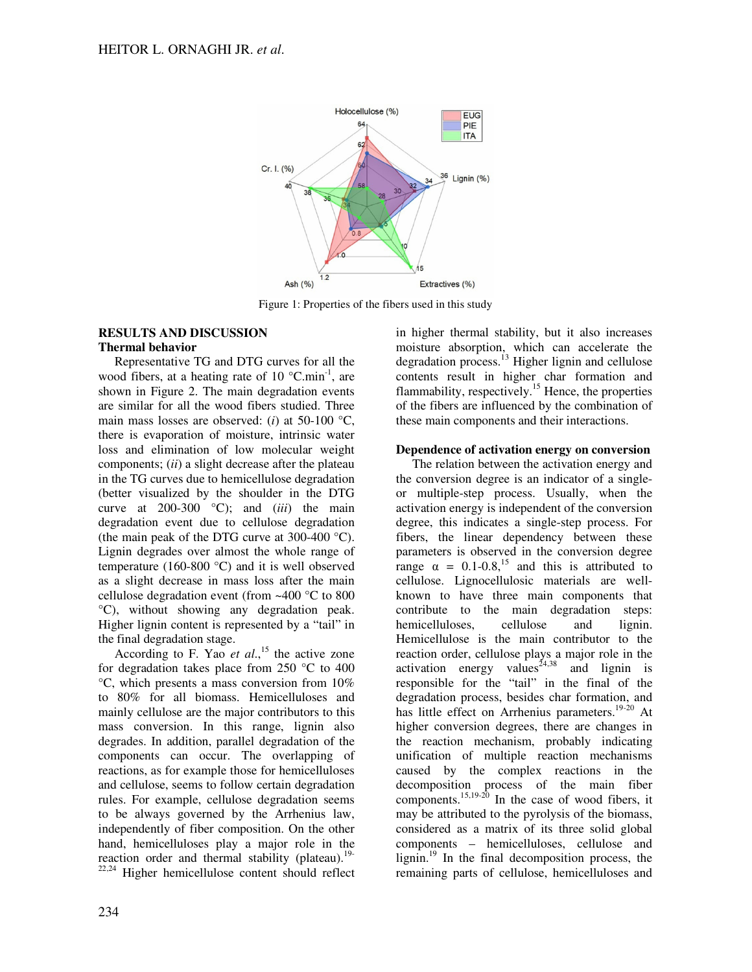

Figure 1: Properties of the fibers used in this study

### **RESULTS AND DISCUSSION Thermal behavior**

Representative TG and DTG curves for all the wood fibers, at a heating rate of 10  $^{\circ}$ C.min<sup>-1</sup>, are shown in Figure 2. The main degradation events are similar for all the wood fibers studied. Three main mass losses are observed: (*i*) at 50-100 °C, there is evaporation of moisture, intrinsic water loss and elimination of low molecular weight components; (*ii*) a slight decrease after the plateau in the TG curves due to hemicellulose degradation (better visualized by the shoulder in the DTG curve at 200-300 °C); and (*iii*) the main degradation event due to cellulose degradation (the main peak of the DTG curve at 300-400 °C). Lignin degrades over almost the whole range of temperature (160-800 °C) and it is well observed as a slight decrease in mass loss after the main cellulose degradation event (from ~400 °C to 800 °C), without showing any degradation peak. Higher lignin content is represented by a "tail" in the final degradation stage.

According to F. Yao *et al*., <sup>15</sup> the active zone for degradation takes place from 250 °C to 400 °C, which presents a mass conversion from 10% to 80% for all biomass. Hemicelluloses and mainly cellulose are the major contributors to this mass conversion. In this range, lignin also degrades. In addition, parallel degradation of the components can occur. The overlapping of reactions, as for example those for hemicelluloses and cellulose, seems to follow certain degradation rules. For example, cellulose degradation seems to be always governed by the Arrhenius law, independently of fiber composition. On the other hand, hemicelluloses play a major role in the reaction order and thermal stability (plateau). $19-$ 

Higher hemicellulose content should reflect

in higher thermal stability, but it also increases moisture absorption, which can accelerate the degradation process.<sup>13</sup> Higher lignin and cellulose contents result in higher char formation and flammability, respectively.<sup>15</sup> Hence, the properties of the fibers are influenced by the combination of these main components and their interactions.

# **Dependence of activation energy on conversion**

The relation between the activation energy and the conversion degree is an indicator of a singleor multiple-step process. Usually, when the activation energy is independent of the conversion degree, this indicates a single-step process. For fibers, the linear dependency between these parameters is observed in the conversion degree range  $\alpha = 0.1$ -0.8,<sup>15</sup> and this is attributed to cellulose. Lignocellulosic materials are wellknown to have three main components that contribute to the main degradation steps: hemicelluloses, cellulose and lignin. Hemicellulose is the main contributor to the reaction order, cellulose plays a major role in the activation energy values<sup> $24,38$ </sup> and lignin is responsible for the "tail" in the final of the degradation process, besides char formation, and has little effect on Arrhenius parameters.<sup>19-20</sup> At higher conversion degrees, there are changes in the reaction mechanism, probably indicating unification of multiple reaction mechanisms caused by the complex reactions in the decomposition process of the main fiber components.<sup>15,19-20</sup> In the case of wood fibers, it may be attributed to the pyrolysis of the biomass, considered as a matrix of its three solid global components – hemicelluloses, cellulose and lignin.<sup>19</sup> In the final decomposition process, the remaining parts of cellulose, hemicelluloses and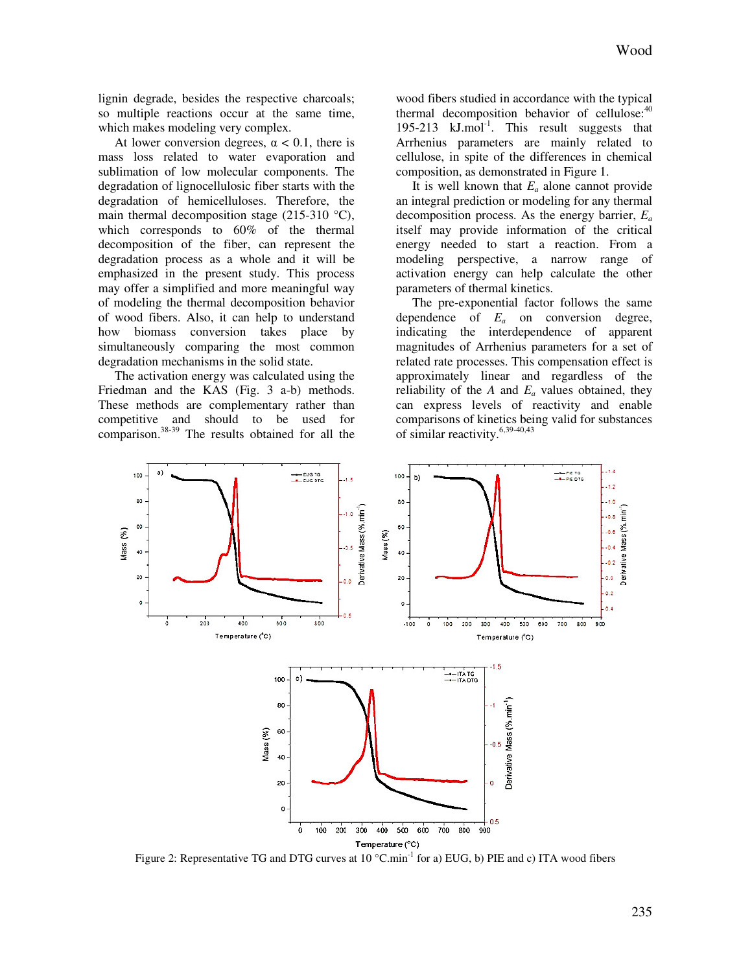lignin degrade, besides the respective charcoals; so multiple reactions occur at the same time, which makes modeling very complex.

At lower conversion degrees,  $\alpha$  < 0.1, there is mass loss related to water evaporation and sublimation of low molecular components. The degradation of lignocellulosic fiber starts with the degradation of hemicelluloses. Therefore, the main thermal decomposition stage (215-310 °C), which corresponds to 60% of the thermal decomposition of the fiber, can represent the degradation process as a whole and it will be emphasized in the present study. This process may offer a simplified and more meaningful way of modeling the thermal decomposition behavior of wood fibers. Also, it can help to understand how biomass conversion takes place by simultaneously comparing the most common degradation mechanisms in the solid state.

The activation energy was calculated using the Friedman and the KAS (Fig. 3 a-b) methods. These methods are complementary rather than competitive and should to be used for comparison.38-39 The results obtained for all the

wood fibers studied in accordance with the typical thermal decomposition behavior of cellulose: $40$ 195-213  $kJ$ .mol<sup>-1</sup>. This result suggests that Arrhenius parameters are mainly related to cellulose, in spite of the differences in chemical composition, as demonstrated in Figure 1.

It is well known that  $E_a$  alone cannot provide an integral prediction or modeling for any thermal decomposition process. As the energy barrier, *E<sup>a</sup>* itself may provide information of the critical energy needed to start a reaction. From a modeling perspective, a narrow range of activation energy can help calculate the other parameters of thermal kinetics.

The pre-exponential factor follows the same dependence of *Ea* on conversion degree, indicating the interdependence of apparent magnitudes of Arrhenius parameters for a set of related rate processes. This compensation effect is approximately linear and regardless of the reliability of the  $A$  and  $E_a$  values obtained, they can express levels of reactivity and enable comparisons of kinetics being valid for substances of similar reactivity. $6,39-40,43$ 



Figure 2: Representative TG and DTG curves at  $10^{\circ}$ C.min<sup>-1</sup> for a) EUG, b) PIE and c) ITA wood fibers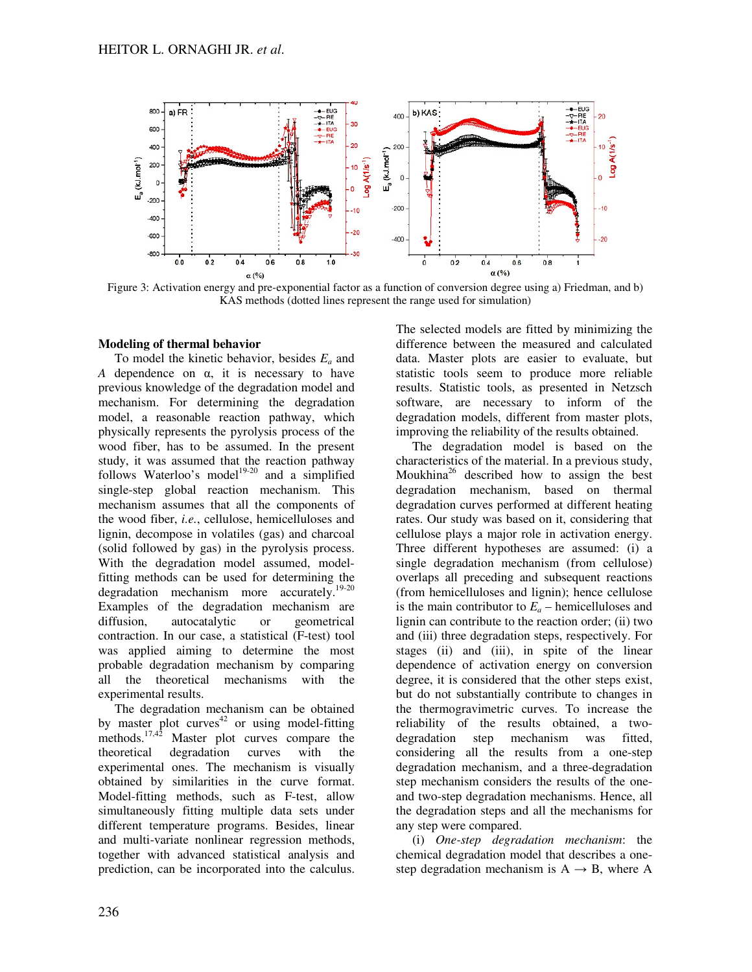

Figure 3: Activation energy and pre-exponential factor as a function of conversion degree using a) Friedman, and b) KAS methods (dotted lines represent the range used for simulation)

## **Modeling of thermal behavior**

To model the kinetic behavior, besides *Ea* and *A* dependence on α, it is necessary to have previous knowledge of the degradation model and mechanism. For determining the degradation model, a reasonable reaction pathway, which physically represents the pyrolysis process of the wood fiber, has to be assumed. In the present study, it was assumed that the reaction pathway follows Waterloo's model<sup>19-20</sup> and a simplified single-step global reaction mechanism. This mechanism assumes that all the components of the wood fiber, *i.e.*, cellulose, hemicelluloses and lignin, decompose in volatiles (gas) and charcoal (solid followed by gas) in the pyrolysis process. With the degradation model assumed, modelfitting methods can be used for determining the degradation mechanism more accurately.<sup>19-20</sup> Examples of the degradation mechanism are diffusion, autocatalytic or geometrical contraction. In our case, a statistical (F-test) tool was applied aiming to determine the most probable degradation mechanism by comparing all the theoretical mechanisms with the experimental results.

The degradation mechanism can be obtained by master plot curves $42$  or using model-fitting methods.<sup>17,42</sup> Master plot curves compare the theoretical degradation curves with the experimental ones. The mechanism is visually obtained by similarities in the curve format. Model-fitting methods, such as F-test, allow simultaneously fitting multiple data sets under different temperature programs. Besides, linear and multi-variate nonlinear regression methods, together with advanced statistical analysis and prediction, can be incorporated into the calculus.

The selected models are fitted by minimizing the difference between the measured and calculated data. Master plots are easier to evaluate, but statistic tools seem to produce more reliable results. Statistic tools, as presented in Netzsch software, are necessary to inform of the degradation models, different from master plots, improving the reliability of the results obtained.

The degradation model is based on the characteristics of the material. In a previous study, Moukhina<sup>26</sup> described how to assign the best degradation mechanism, based on thermal degradation curves performed at different heating rates. Our study was based on it, considering that cellulose plays a major role in activation energy. Three different hypotheses are assumed: (i) a single degradation mechanism (from cellulose) overlaps all preceding and subsequent reactions (from hemicelluloses and lignin); hence cellulose is the main contributor to  $E_a$  – hemicelluloses and lignin can contribute to the reaction order; (ii) two and (iii) three degradation steps, respectively. For stages (ii) and (iii), in spite of the linear dependence of activation energy on conversion degree, it is considered that the other steps exist, but do not substantially contribute to changes in the thermogravimetric curves. To increase the reliability of the results obtained, a twodegradation step mechanism was fitted, considering all the results from a one-step degradation mechanism, and a three-degradation step mechanism considers the results of the oneand two-step degradation mechanisms. Hence, all the degradation steps and all the mechanisms for any step were compared.

(i) *One-step degradation mechanism*: the chemical degradation model that describes a onestep degradation mechanism is  $A \rightarrow B$ , where A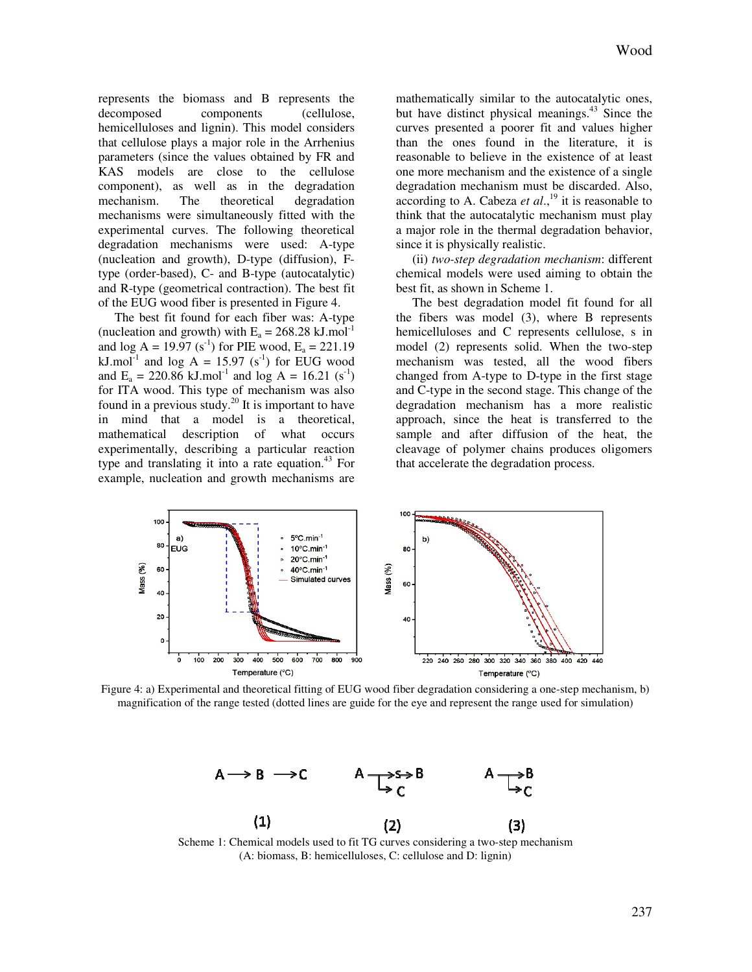represents the biomass and B represents the decomposed components (cellulose, hemicelluloses and lignin). This model considers that cellulose plays a major role in the Arrhenius parameters (since the values obtained by FR and KAS models are close to the cellulose component), as well as in the degradation mechanism. The theoretical degradation mechanisms were simultaneously fitted with the experimental curves. The following theoretical degradation mechanisms were used: A-type (nucleation and growth), D-type (diffusion), Ftype (order-based), C- and B-type (autocatalytic) and R-type (geometrical contraction). The best fit of the EUG wood fiber is presented in Figure 4.

The best fit found for each fiber was: A-type (nucleation and growth) with  $E_a = 268.28$  kJ.mol<sup>-1</sup> and  $\log A = 19.97$  (s<sup>-1</sup>) for PIE wood, E<sub>a</sub> = 221.19 kJ.mol<sup>-1</sup> and log A = 15.97 (s<sup>-1</sup>) for EUG wood and  $E_a = 220.86$  kJ.mol<sup>-1</sup> and log A = 16.21 (s<sup>-1</sup>) for ITA wood. This type of mechanism was also found in a previous study.<sup>20</sup> It is important to have in mind that a model is a theoretical, mathematical description of what occurs experimentally, describing a particular reaction type and translating it into a rate equation.<sup>43</sup> For example, nucleation and growth mechanisms are

mathematically similar to the autocatalytic ones, but have distinct physical meanings.<sup>43</sup> Since the curves presented a poorer fit and values higher than the ones found in the literature, it is reasonable to believe in the existence of at least one more mechanism and the existence of a single degradation mechanism must be discarded. Also, according to A. Cabeza *et al*., <sup>19</sup> it is reasonable to think that the autocatalytic mechanism must play a major role in the thermal degradation behavior, since it is physically realistic.

(ii) *two-step degradation mechanism*: different chemical models were used aiming to obtain the best fit, as shown in Scheme 1.

The best degradation model fit found for all the fibers was model (3), where B represents hemicelluloses and C represents cellulose, s in model (2) represents solid. When the two-step mechanism was tested, all the wood fibers changed from A-type to D-type in the first stage and C-type in the second stage. This change of the degradation mechanism has a more realistic approach, since the heat is transferred to the sample and after diffusion of the heat, the cleavage of polymer chains produces oligomers that accelerate the degradation process.



Figure 4: a) Experimental and theoretical fitting of EUG wood fiber degradation considering a one-step mechanism, b) magnification of the range tested (dotted lines are guide for the eye and represent the range used for simulation)



(A: biomass, B: hemicelluloses, C: cellulose and D: lignin)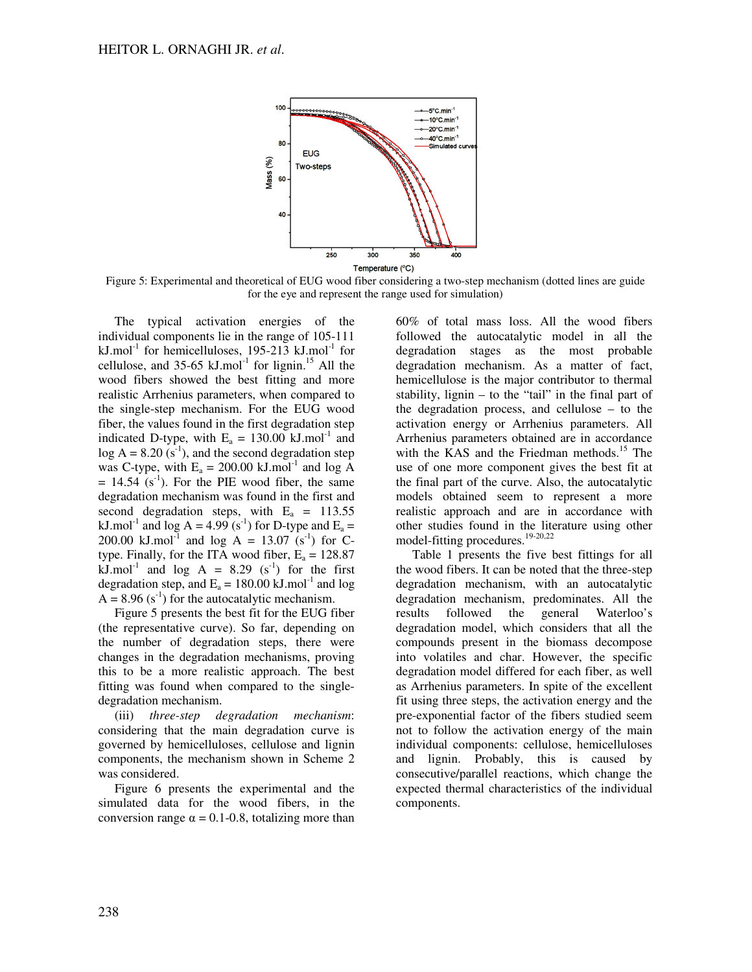

Figure 5: Experimental and theoretical of EUG wood fiber considering a two-step mechanism (dotted lines are guide for the eye and represent the range used for simulation)

The typical activation energies of the individual components lie in the range of 105-111 kJ.mol<sup>-1</sup> for hemicelluloses, 195-213 kJ.mol<sup>-1</sup> for cellulose, and  $35-65$  kJ.mol<sup>-1</sup> for lignin.<sup>15</sup> All the wood fibers showed the best fitting and more realistic Arrhenius parameters, when compared to the single-step mechanism. For the EUG wood fiber, the values found in the first degradation step indicated D-type, with  $E_a = 130.00$  kJ.mol<sup>-1</sup> and  $log A = 8.20$  (s<sup>-1</sup>), and the second degradation step was C-type, with  $E_a = 200.00 \text{ kJ}$ .mol<sup>-1</sup> and log A  $= 14.54$  (s<sup>-1</sup>). For the PIE wood fiber, the same degradation mechanism was found in the first and second degradation steps, with  $E_a = 113.55$ kJ.mol<sup>-1</sup> and log A = 4.99 (s<sup>-1</sup>) for D-type and  $E_a =$ 200.00 kJ.mol<sup>-1</sup> and log A = 13.07 (s<sup>-1</sup>) for Ctype. Finally, for the ITA wood fiber,  $E_a = 128.87$ kJ.mol<sup>-1</sup> and log A = 8.29 (s<sup>-1</sup>) for the first degradation step, and  $E_a = 180.00 \text{ kJ}$ .mol<sup>-1</sup> and log  $A = 8.96$  (s<sup>-1</sup>) for the autocatalytic mechanism.

Figure 5 presents the best fit for the EUG fiber (the representative curve). So far, depending on the number of degradation steps, there were changes in the degradation mechanisms, proving this to be a more realistic approach. The best fitting was found when compared to the singledegradation mechanism.

(iii) *three-step degradation mechanism*: considering that the main degradation curve is governed by hemicelluloses, cellulose and lignin components, the mechanism shown in Scheme 2 was considered.

Figure 6 presents the experimental and the simulated data for the wood fibers, in the conversion range  $\alpha = 0.1$ -0.8, totalizing more than

60% of total mass loss. All the wood fibers followed the autocatalytic model in all the degradation stages as the most probable degradation mechanism. As a matter of fact, hemicellulose is the major contributor to thermal stability, lignin – to the "tail" in the final part of the degradation process, and cellulose – to the activation energy or Arrhenius parameters. All Arrhenius parameters obtained are in accordance with the KAS and the Friedman methods.<sup>15</sup> The use of one more component gives the best fit at the final part of the curve. Also, the autocatalytic models obtained seem to represent a more realistic approach and are in accordance with other studies found in the literature using other model-fitting procedures.19-20,22

Table 1 presents the five best fittings for all the wood fibers. It can be noted that the three-step degradation mechanism, with an autocatalytic degradation mechanism, predominates. All the results followed the general Waterloo's degradation model, which considers that all the compounds present in the biomass decompose into volatiles and char. However, the specific degradation model differed for each fiber, as well as Arrhenius parameters. In spite of the excellent fit using three steps, the activation energy and the pre-exponential factor of the fibers studied seem not to follow the activation energy of the main individual components: cellulose, hemicelluloses and lignin. Probably, this is caused by consecutive/parallel reactions, which change the expected thermal characteristics of the individual components.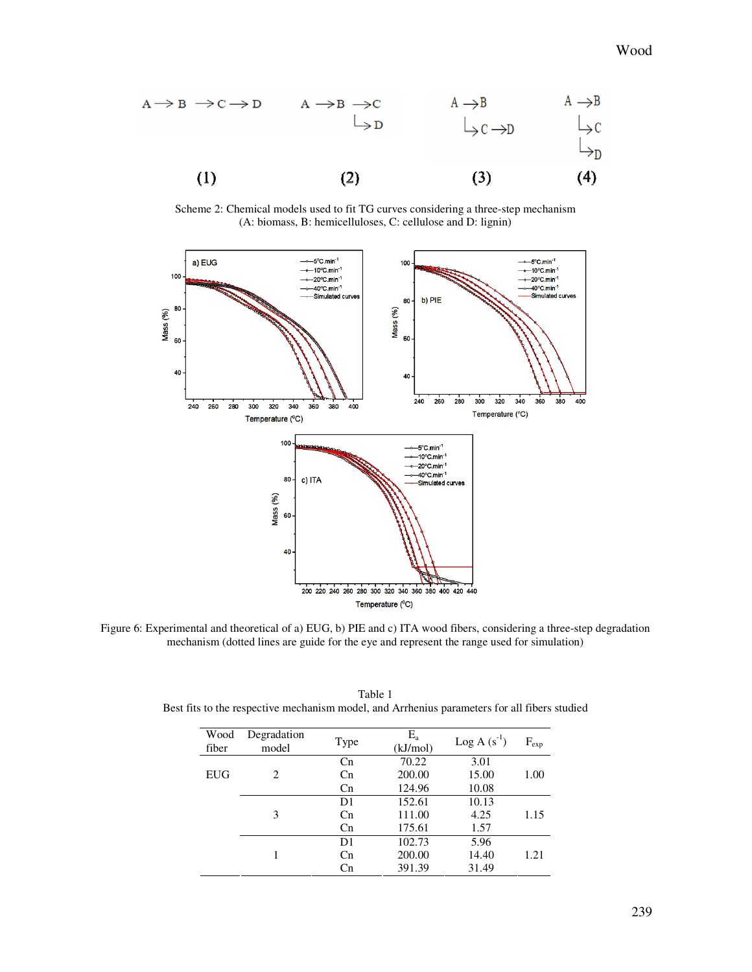

Scheme 2: Chemical models used to fit TG curves considering a three-step mechanism (A: biomass, B: hemicelluloses, C: cellulose and D: lignin)



Figure 6: Experimental and theoretical of a) EUG, b) PIE and c) ITA wood fibers, considering a three-step degradation mechanism (dotted lines are guide for the eye and represent the range used for simulation)

| Degradation | Type           | $E_{\rm a}$ | $Log A(s^{-1})$ | $F_{exp}$ |
|-------------|----------------|-------------|-----------------|-----------|
| model       |                | (kJ/mol)    |                 |           |
| 2           | Cn             | 70.22       | 3.01            |           |
|             | C <sub>n</sub> | 200.00      | 15.00           | 1.00      |
|             | Cn             | 124.96      | 10.08           |           |
|             | D1             | 152.61      | 10.13           |           |
| 3           | C <sub>n</sub> | 111.00      | 4.25            | 1.15      |
|             | Cn             | 175.61      | 1.57            |           |
|             | D1             | 102.73      | 5.96            |           |
|             | Cn             | 200.00      | 14.40           | 1.21      |
|             | Cn             | 391.39      | 31.49           |           |
|             |                |             |                 |           |

Table 1 Best fits to the respective mechanism model, and Arrhenius parameters for all fibers studied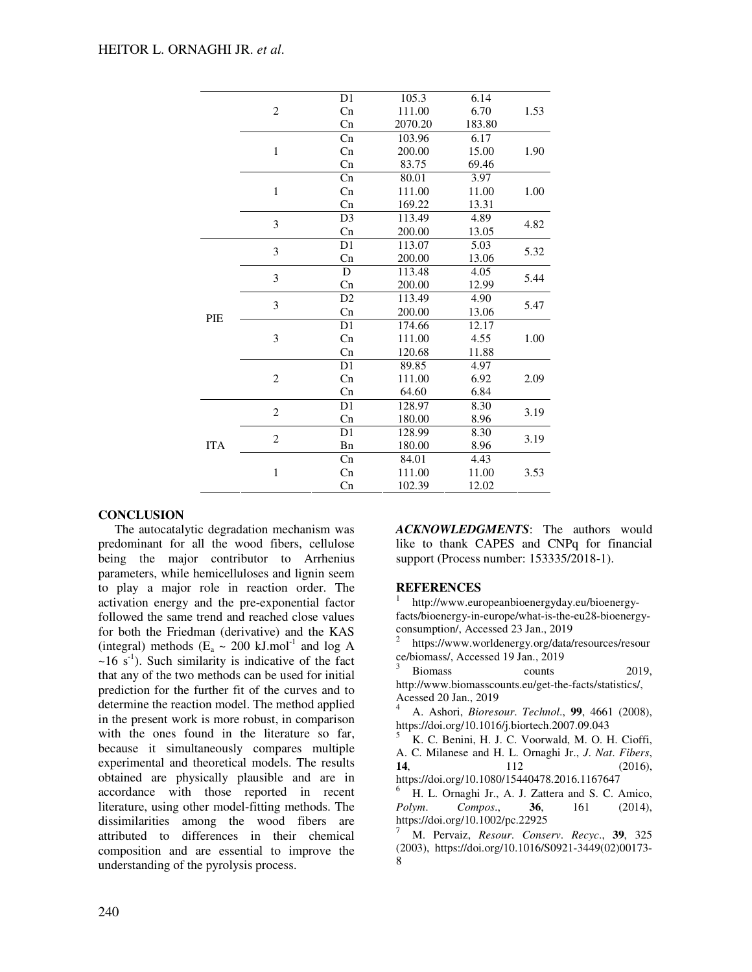|            | $\overline{c}$          | D1             | 105.3  | 6.14  | 1.53 |
|------------|-------------------------|----------------|--------|-------|------|
|            |                         | Cn             | 111.00 | 6.70  |      |
|            | Cn                      | 2070.20        | 183.80 |       |      |
|            | $\mathbf{1}$            | Cn             | 103.96 | 6.17  | 1.90 |
|            |                         | Cn             | 200.00 | 15.00 |      |
|            |                         | Cn             | 83.75  | 69.46 |      |
|            | $\mathbf{1}$            | Cn             | 80.01  | 3.97  | 1.00 |
|            |                         | Cn             | 111.00 | 11.00 |      |
|            |                         | Cn             | 169.22 | 13.31 |      |
|            | 3                       | D <sub>3</sub> | 113.49 | 4.89  | 4.82 |
|            |                         | Cn             | 200.00 | 13.05 |      |
| PIE        | $\overline{\mathbf{3}}$ | D <sub>1</sub> | 113.07 | 5.03  | 5.32 |
|            |                         | Cn             | 200.00 | 13.06 |      |
|            | 3                       | D              | 113.48 | 4.05  | 5.44 |
|            |                         | Cn             | 200.00 | 12.99 |      |
|            | 3                       | D2             | 113.49 | 4.90  | 5.47 |
|            |                         | Cn             | 200.00 | 13.06 |      |
|            | 3                       | D1             | 174.66 | 12.17 | 1.00 |
|            |                         | Cn             | 111.00 | 4.55  |      |
|            |                         | Cn             | 120.68 | 11.88 |      |
|            | $\overline{c}$          | D1             | 89.85  | 4.97  | 2.09 |
|            |                         | Cn             | 111.00 | 6.92  |      |
|            |                         | Cn             | 64.60  | 6.84  |      |
| <b>ITA</b> | $\overline{c}$          | D <sub>1</sub> | 128.97 | 8.30  | 3.19 |
|            |                         | Cn             | 180.00 | 8.96  |      |
|            | $\mathbf{2}$            | D <sub>1</sub> | 128.99 | 8.30  | 3.19 |
|            |                         | Bn             | 180.00 | 8.96  |      |
|            | $\mathbf{1}$            | Cn             | 84.01  | 4.43  | 3.53 |
|            |                         | Cn             | 111.00 | 11.00 |      |
|            |                         | Cn             | 102.39 | 12.02 |      |
|            |                         |                |        |       |      |

# **CONCLUSION**

The autocatalytic degradation mechanism was predominant for all the wood fibers, cellulose being the major contributor to Arrhenius parameters, while hemicelluloses and lignin seem to play a major role in reaction order. The activation energy and the pre-exponential factor followed the same trend and reached close values for both the Friedman (derivative) and the KAS (integral) methods ( $E_a \sim 200 \text{ kJ}$ .mol<sup>-1</sup> and log A  $\sim 16$  s<sup>-1</sup>). Such similarity is indicative of the fact that any of the two methods can be used for initial prediction for the further fit of the curves and to determine the reaction model. The method applied in the present work is more robust, in comparison with the ones found in the literature so far, because it simultaneously compares multiple experimental and theoretical models. The results obtained are physically plausible and are in accordance with those reported in recent literature, using other model-fitting methods. The dissimilarities among the wood fibers are attributed to differences in their chemical composition and are essential to improve the understanding of the pyrolysis process.

*ACKNOWLEDGMENTS*: The authors would like to thank CAPES and CNPq for financial support (Process number: 153335/2018-1).

# **REFERENCES**

1 http://www.europeanbioenergyday.eu/bioenergyfacts/bioenergy-in-europe/what-is-the-eu28-bioenergyconsumption/, Accessed 23 Jan., 2019

https://www.worldenergy.org/data/resources/resour ce/biomass/, Accessed 19 Jan., 2019

Biomass counts 2019. http://www.biomasscounts.eu/get-the-facts/statistics/, Acessed 20 Jan., 2019

<sup>4</sup> A. Ashori, *Bioresour*. *Technol*., **99**, 4661 (2008), https://doi.org/10.1016/j.biortech.2007.09.043

<sup>5</sup> K. C. Benini, H. J. C. Voorwald, M. O. H. Cioffi, A. C. Milanese and H. L. Ornaghi Jr., *J*. *Nat*. *Fibers*, **14**, 112 (2016), https://doi.org/10.1080/15440478.2016.1167647

<sup>6</sup> H. L. Ornaghi Jr., A. J. Zattera and S. C. Amico, *Polym*. *Compos*., **36**, 161 (2014), https://doi.org/10.1002/pc.22925

<sup>7</sup> M. Pervaiz, *Resour*. *Conserv*. *Recyc*., **39**, 325 (2003), https://doi.org/10.1016/S0921-3449(02)00173- 8